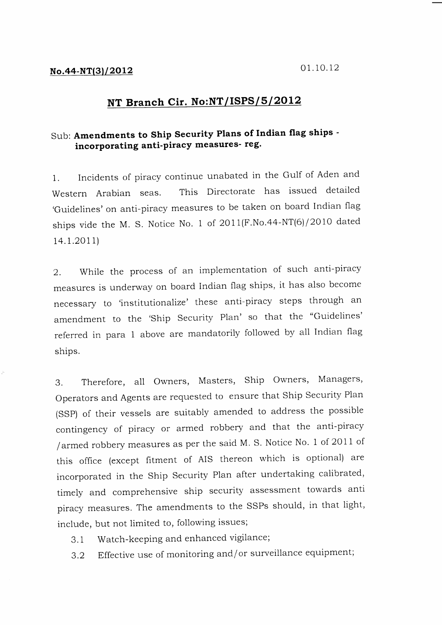## NT Branch Cir. No:NT/ISPS/ $5/2012$

## sub: Amendments to ship security plans of Indian flag ships incorporating anti-piracy measures- reg.

1. Incidents of piracy continue unabated in the Gulf of Aden and Western Arabian seas. This Directorate has issued detailed ,Guidelines' on anti-piracy measures to be taken on board Indian flag ships vide the M. S. Notice No. 1 of  $2011(F.No.44-NT(6)/2010$  dated t4.r.2011)

2. While the process of an implementation of such anti-piracy measures is underway on board Indian flag ships, it has also become necessary to 'institutionalize' these anti-piracy steps through an amendment to the 'Ship Security Plan' so that the "Guidelines' referred in para 1 above are mandatorily followed by all Indian flag ships.

3. Therefore, all Owners, Masters, Ship Owners, Managers, Operators and Agents are requested to ensure that Ship Security Plan (SSp) of their vessels are suitably amended to address the possible contingency of piracy or armed robbery and that the anti-piracy /armed robbery measures as per the said M. S. Notice No. I of 2oll of this office (except fitment of AIS thereon which is optional) are incorporated in the Ship Security Plan after undertaking calibrated, timely and comprehensive ship security assessment towards anti piracy measures. The amendments to the SSPs should, in that light, include, but not limited to, following issues;

- 3.1 Watch-keeping and enhanced vigilance;
- 3.2 Effective use of monitoring and/or surveillance equipment;